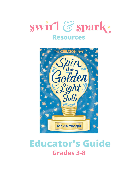



# **Educator's Guide Grades 3-8**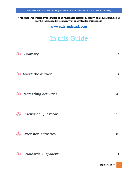This guide was created by the author and provided for classroom, library, and educational use. It may be reproduced in its entirety or excerpted for this purpose.

www.swirlandspark.com

# In this Guide

|                 | Summary |                                                                                                               |
|-----------------|---------|---------------------------------------------------------------------------------------------------------------|
|                 |         | About the Author manufactured and the Author manufactured and the Author manufactured and the Authority of Te |
| $\zeta(\Theta)$ |         |                                                                                                               |
|                 |         |                                                                                                               |
|                 |         |                                                                                                               |
|                 |         |                                                                                                               |
|                 |         | <b>JACKIE YEAGER</b><br>$\overline{2}$                                                                        |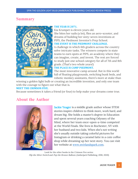### **Summary**



#### **THE YEAR IS 2071.**

Kia Krumpet is eleven years old. She bites her nails (a lot), flies an aero-scooter, and dreams of building her sixty-seven inventions at PIPS, the Piedmont Inventor's Prep School. **THE EVENT IS THE PIEDMONT CHALLENGE.**

A challenge in which 6th graders across the country solve intricate tasks. The winners compete in state teams to earn spots at PIPS, an academy where they can imagine, create, and invent. The rest are forced to study just one school category for all of 7th and 8th grade. (That's two whole years!) **THE PLACE IS CAMP PIEDMONT.**

The most innovative camp around. But in this world full of floating playgrounds, switching bunk beds, and robotic monkey assistants, there's more at stake than

winning a golden light bulb or creating an incredible invention, and only one team with the courage to figure out what that is.

#### **MEET THE CRIMSON FIVE.**

Because sometimes it takes a friend (or four) to help make your dreams come true.

### **About the Author**



Jackie Yeager is a middle grade author whose STEM stories inspire children to think more, work hard, and dream big. She holds a master's degree in Education and spent several years coaching Odyssey of the Mind, where her team once-upon-a-time competed at the World Finals. She lives in Rochester, NY with her husband and two kids. When she's not writing she's usually outside taking colorful pictures for Instagram or drinking a caramel latte in a cute coffee shop while dreaming up her next story. You can visit her website at www.swirlandspark.com.

Look for the other books in the Crimson Five series: Flip the Silver Switch and Pop the Bronze Balloon. (Amberjack Publishing, 2018, 2020)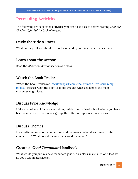# **Prereading Activities**

The following are suggested activities you can do as a class before reading *Spin the* Golden Light Bulb by Jackie Yeager.

### Study the Title & Cover

What do they tell you about the book? What do you think the story is about?

### Learn about the Author

Read the About the Author section as a class.

### Watch the Book Trailer

Watch the Book Trailers at: swirlandspark.com/the-crimson-five-series/mybooks/. Discuss what the book is about. Predict what challenges the main character might face.

### Discuss Prior Knowledge

Make a list of any clubs or or activities, inside or outside of school, where you have been competitive. Discuss as a group, the different types of competitions.

# Discuss Themes

Have a discussion about competition and teamwork. What does it mean to be competitive? What does it mean to be a good teammate?

### Create a Good Teammate Handbook

What would you put in a new teammate guide? As a class, make a list of rules that all good teammates live by.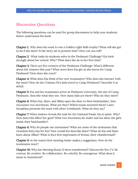# **Discussion Questions**

The following questions can be used for group discussions to help your students better understand the book.

Chapter 1: Why does Kia want to win a Golden Light Bulb trophy? What will she get to do if she does? Is the story set in present time? How can you tell?

Chapter 2: What tasks do students solve in the Piedmont Challenge? Kia feels strongly about her school. Why? What does she do in her free time?

Chapter 3: There are five winners of the Piedmont Challenge. What's different about the winners this year? What news does Kia get as she leaves for Camp Piedmont? How does she react?

Chapter 4: What does Kia think of her new teammates? Who does she interact with the most? How do the Crimson Five kids travel to Camp Piedmont? Describe it in detail.

Chapter 5: Kia and her teammates arrive at Piedmont University, the site of Camp Piedmont. Describe what they see. How many kids are there? Who do they meet?

Chapter 6: When Kia, Mare, and Jillian open the door to their bedchamber, they encounter two inventions. What are they? Which teams invented them? Later, Seraphina presents the team with silver wristbands. What do they say?

Chapter 7: When Andora reveals the task for the National Finals, Kia is upset. Why? How does this affect her goal? What two inventions do Ander and Jax show the girls inside their bedchamber?

Chapter 8: Why do people use nicknames? What are some of the nicknames that Grandma Kitty has for Kia? How would Kia describe Mare? What do Kia and Mare learn about Jillian? What is Kia's first impression of Swissa, their chambermaid?

Chapter 9: At the team's first meeting Ander makes a suggestion. How do his teammates react?

Chapter 10: Why has Meeting Room 12 been transformed? Discuss the five C's: Be curious. Be creative. Be collaborative. Be colorful. Be courageous. What does it mean to *brainstorm*?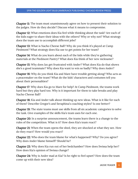Chapter 11: The team must unaminmously agree on how to present their solution to the judges. How do they decide? Discuss what it means to compromise.

Chapter 12: What emotions does Kia feel while thinking about the task? Are each of the kids eager to share their ideas with the others? Why or why not? What strategy does the team use to accomplish different jobs?

Chapter 13: What is Nacho Cheese Ball? Why do you think it's played at Camp Piedmont? What strategy does Kia use to get points for her team?

Chapter 14: What do you learn about each of the kids while they're gathering materials at the Piedmont Pantry? What does Kia think of her new nickname?

Chapter 15: Why does Jax get frustrated with Ander? What does Kia do that shows she's a good teammate? Why does Kia want to win so badly? Why does Ander?

Chapter 16: Why do you think Kia and Mare have trouble getting along? Who acts as a peacemaker on the team? What do the kids' characters and costumes tell you about their personalities?

Chapter 17: Why does Kia go to Mare for help? At Camp Piedmont, the teams work hard but they play hard too. Why is it important for them to take breaks and play Nacho Cheese Ball?

Chapter 18: Kia and Ander talk about thinking up new ideas. What is it like for each of them? Describe Gregor's and Seraphina's coaching styles? Is one better?

Chapter 19: The state teams must use skills from all six academic categories to solve the task. Give examples of the skills Kia's team uses for each one.

Chapter 20: In a surprise announcement, the teams learn there is a change to the rules of the competition. What is it? How does Kia's team react?

Chapter 21: When the team opens the shed, they are shocked at what they see. How do they react? How would you react?

Chapter 22: Who does the team blame for what's happened? Why? Do you agree? Why does Ander blame himself? Should he?

Chapter 23: Why does Kia run out of her bedchamber? How does Swissa help her? How does Kia's opinion of Swissa change?

Chapter 24: Why is Ander mad at Kia? Is he right to feel upset? How does the team come up with their new idea?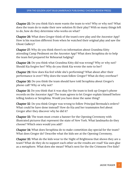Chapter 25: Do you think Kia's mom wants the team to win? Why or why not? What does the team do to make their new solution fit their play? With so many things left to do, how do they determine who works on what?

Chapter 26: What does Gregor think of the team's new play and the Ancestor App? How is his reaction different from when he watched their original play and saw the Ghost Gallery?

Chapter 27: Why do you think there's no information about Grandma Kitty attending Camp Piedmont on the Ancestor App? What does Seraphina do to help the team feel prepared for Rehearsal Judging?

Chapter 28: Do you think what Grandma Kitty did was wrong? Why or why not? Should Kia forgive her? Why do you think Kia wrote the note to her?

Chapter 29: How does Kia feel while she's performing? What about after their performance is over? Why does the team follow Gregor? What do they overhear?

Chapter 30: Do you think the team should have told Seraphina about Gregor's phone call? Why or why not?

Chapter 31: Do you think that it was okay for the team to look up Gregor's phone records on the Ancestor App? The team agrees to let Gregor explain himself before telling Andora or Seraphina. Would you have done the same thing?

Chapter 32: Do you think Gregor was wrong to follow Principal Bermuda's orders? What could he have done instead? How do Kia and her teammates feel about Gregor after they discover why he did it?

Chapter 33: The team must create a banner for the Opening Ceremony with illustrated pictures that represent the state of New York. What landmarks do they choose? Which ones would you add?

Chapter 34: What does Seraphina do to make cometition day special for the team? What does Gregor do? Describe what the kids see at the Opening Ceremony.

Chapter 35: What do the kids wear to the Night of Brightness that shows they are a team? What do they do to support each other as the results are read? Kia uses glue as a metaphore. What does she mean? What's next for the the Crimsone Five kids?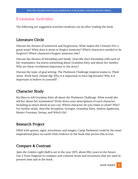# **Extension Activities**

The following are suggested activities students can do after reading the book.

### Literature Circle

Discuss the themes of teamwork and forgiveness. What makes the Crimson Five a great team? What does it mean to forgive someone? Which characters needed to be forgiven? Which characters forgave someone else?

Discuss the themes of friendship and family. Describe Kia's friendship with each of her teammates. Kia learns something about Grandma Kitty and about her mother. Why are these revelations important to the story?

Discuss the topic of goal setting. The Piedmont Challenge inspires teams to Think more. Work hard. Dream Big. Why is it important to have big dreams? Why is it important to believe in yourself?

# Character Study

Kia likes to tell Grandma Kitty all about the Piedmont Challenge. What would she tell her about her teammates? Write down your descriptions of each character including as much detail as you can. Which character do you relate to most? Why? For further study, describe Seraphina, Greogor, Grandma Kitty, Andora Appleonia, Master Freeman, Swissa, and Witch Girl.

# Research Project

Filled with quotes, signs, inventions, and images, Camp Piedmont could be the most inspirational place on earth! Find evidence in the book that proves this is true.

# Compare & Contrast

Spin the Golden Light Bulb is set in the year 2071, about fifty years in the future. Use a Venn Diagram to compare and contrast items and inventions that are used in present time and in the book.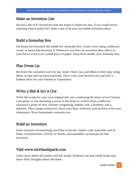### Make an Invention List

Kia has a list of 67 inventions that she hopes to build one day. If you could invent anything what would it be? Make a list of all your incredible invention ideas.

### Build a Someday Box

Kia keeps her invention list inside her *Someday Box*. Create a box using cardboard, wood, or metal and decorate it. Whenever you have an invention idea, add it to your list or write it on a small piece of paper. Keep them inside your *Someday Box.* 

# Play Dress Up

Recreate the costumes worn by Kia, Ander, Mare, Jax, and Jillian in their play using fabric scraps and recycled materials. Then, wear your favorite one and have a fashion show for your friends or classmates.

### Write a Skit & Act it Out

Write the script for your own original skit, one continuing the story set in Crimson Catropolis, or one featuring a scene in the book re-written from a different character's point of view. Include a beginning, middle, end, a problem, and a solution. Then, assign characters, learn your lines, rehearse, and perform it for your classmates. Wear homemade costumes too.

# Build an Invention

Draw a picture of something you'd like to invent. Gather craft materials, nuts & bolts, recycled items, LEGOS, or blocks, and assemble a prototype for this invention.

### Visit www.swirlandspark.com

Learn more about the author and her books. Students can also email Jackie and share their thoughts about the book.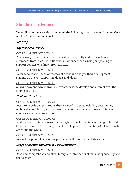# **Standards Alignment**

Depending on the activities completed, the following Language Arts Common Core Anchor Standards can be met.

### Reading

#### Key Ideas and Details:

#### CCSS.ELA-LITERACY.CCRA.R.1

Read closely to determine what the text says explicitly and to make logical inferences from it; cite specific textual evidence when writing or speaking to support conclusions drawn from the text.

#### CCSS.ELA-LITERACY.CCRA.R.2

Determine central ideas or themes of a text and analyze their development; summarize the key supporting details and ideas.

#### CCSS.ELA-LITERACY.CCRA.R.3

Analyze how and why individuals, events, or ideas develop and interact over the course of a text.

#### Craft and Structure:

#### CCSS.ELA-LITERACY.CCRA.R.4

Interpret words and phrases as they are used in a text, including determining technical, connotative, and figurative meanings, and analyze how specific word choices shape meaning or tone.

#### CCSS.ELA-LITERACY.CCRA.R.5

Analyze the structure of texts, including how specific sentences, paragraphs, and larger portions of the text (e.g., a section, chapter, scene, or stanza) relate to each other and the whole.

#### CCSS.ELA-LITERACY.CCRA.R.6

Assess how point of view or purpose shapes the content and style of a text.

#### Range of Reading and Level of Text Compexity:

#### CCSS.ELA-LITERACY.CCRA.R.10

Read and comprehend complex literary and informational texts independently and proficiently.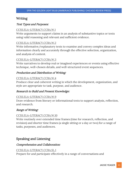### Writing

#### Text Types and Purposes:

#### CCSS.ELA-LITERACY.CCRA.W.1

Write arguments to support claims in an analysis of substantive topics or texts using valid reasoning and relevant and sufficient evidence.

#### CCSS.ELA-LITERACY.CCRA.W.2

Write informative/explanatory texts to examine and convey complex ideas and information clearly and accurately through the effective selection, organization, and analysis of content.

#### CCSS.ELA-LITERACY.CCRA.W.3

Write narratives to develop real or imagined experiences or events using effective technique, well-chosen details, and well-structured event sequences.

#### Production and Distribution of Writing:

#### CCSS.ELA-LITERACY.CCRA.W.4

Produce clear and coherent writing in which the development, organization, and style are appropriate to task, purpose, and audience.

#### Research to Build and Present Knowledge:

#### CCSS.ELA-LITERACY.CCRA.W.9

Draw evidence from literary or informational texts to support analysis, reflection, and research.

#### Range of Writing:

#### CCSS.ELA-LITERACY.CCRA.W.10

Write routinely over extended time frames (time for research, reflection, and revision) and shorter time frames (a single sitting or a day or two) for a range of tasks, purposes, and audiences.

#### Speaking and Listening

#### Comprehension and Collaboration:

#### CCSS.ELA-LITERACY.CCRA.SL.1

Prepare for and participate effectively in a range of conversations and